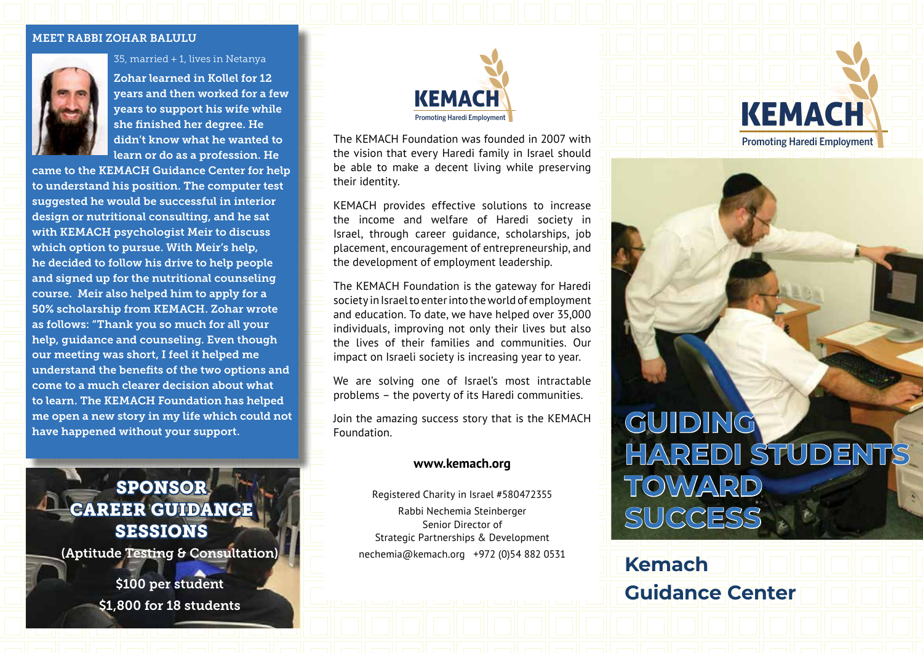#### MEET RABBI ZOHAR BALULU



35, married + 1, lives in Netanya

Zohar learned in Kollel for 12 years and then worked for a few years to support his wife while she finished her degree. He didn't know what he wanted to learn or do as a profession. He

came to the KEMACH Guidance Center for help to understand his position. The computer test suggested he would be successful in interior design or nutritional consulting, and he sat with KEMACH psychologist Meir to discuss which option to pursue. With Meir's help, he decided to follow his drive to help people and signed up for the nutritional counseling course. Meir also helped him to apply for a 50% scholarship from KEMACH. Zohar wrote as follows: "Thank you so much for all your help, guidance and counseling. Even though our meeting was short, I feel it helped me understand the benefits of the two options and come to a much clearer decision about what to learn. The KEMACH Foundation has helped me open a new story in my life which could not have happened without your support.

SPONSOR CAREER GUIDANCE SESSIONS (Aptitude Testing & Consultation)

> \$100 per student \$1,800 for 18 students



The KEMACH Foundation was founded in 2007 with the vision that every Haredi family in Israel should be able to make a decent living while preserving their identity.

KEMACH provides effective solutions to increase the income and welfare of Haredi society in Israel, through career guidance, scholarships, job placement, encouragement of entrepreneurship, and the development of employment leadership.

The KEMACH Foundation is the gateway for Haredi society in Israel to enter into the world of employment and education. To date, we have helped over 35,000 individuals, improving not only their lives but also the lives of their families and communities. Our impact on Israeli society is increasing year to year.

We are solving one of Israel's most intractable problems – the poverty of its Haredi communities.

Join the amazing success story that is the KEMACH Foundation.

### **www.kemach.org**

Registered Charity in Israel #580472355 Rabbi Nechemia Steinberger Senior Director of Strategic Partnerships & Development nechemia@kemach.org +972 (0)54 882 0531

# KEMACH Promoting Haredi Employment

## **GUIDING HAREDI STUDENTS TOWARD SUCCESS**

**Kemach Guidance Center**